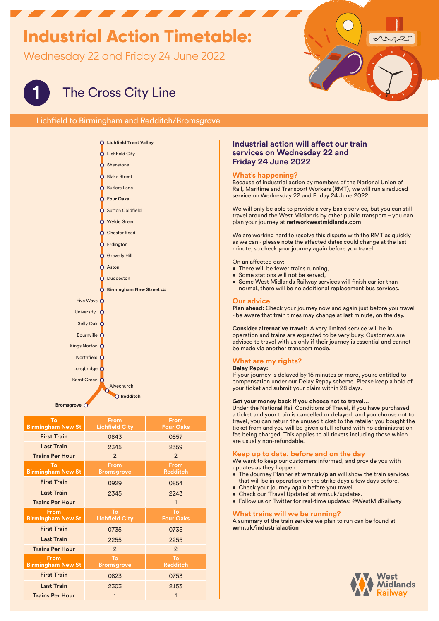# **Industrial Action Timetable:**

Wednesday 22 and Friday 24 June 2022

# ruis

# **1** The Cross City Line

Lichfield to Birmingham and Redditch/Bromsgrove



| To<br><b>Birmingham New St</b>   | <b>From</b><br><b>Lichfield City</b> | <b>From</b><br><b>Four Oaks</b> |
|----------------------------------|--------------------------------------|---------------------------------|
| <b>First Train</b>               | 0843                                 | 0857                            |
| <b>Last Train</b>                | 2345                                 | 2359                            |
| <b>Trains Per Hour</b>           | $\mathcal{P}$                        | $\mathcal{P}$                   |
| To<br><b>Birmingham New St</b>   | <b>From</b><br><b>Bromsgrove</b>     | <b>From</b><br><b>Redditch</b>  |
| <b>First Train</b>               | 0929                                 | 0854                            |
| <b>Last Train</b>                | 2345                                 | 2243                            |
| <b>Trains Per Hour</b>           | $\mathbf{1}$                         | $\mathbf{1}$                    |
| From<br><b>Birmingham New St</b> | To<br><b>Lichfield City</b>          | To<br><b>Four Oaks</b>          |
|                                  |                                      |                                 |
| <b>First Train</b>               | 0735                                 | 0735                            |
| <b>Last Train</b>                | 2255                                 | 2255                            |
| <b>Trains Per Hour</b>           | $\mathcal{P}$                        | $\mathcal{P}$                   |
| From<br><b>Birmingham New St</b> | To<br><b>Bromsgrove</b>              | To<br><b>Redditch</b>           |
| <b>First Train</b>               | 0823                                 | 0753                            |
| <b>Last Train</b>                | 2303                                 | 2153                            |

## **Industrial action will affect our train services on Wednesday 22 and Friday 24 June 2022**

### **What's happening?**

Because of industrial action by members of the National Union of Rail, Maritime and Transport Workers (RMT), we will run a reduced service on Wednesday 22 and Friday 24 June 2022.

We will only be able to provide a very basic service, but you can still travel around the West Midlands by other public transport – you can plan your journey at **networkwestmidlands.com**

We are working hard to resolve this dispute with the RMT as quickly as we can - please note the affected dates could change at the last minute, so check your journey again before you travel.

On an affected day:

- There will be fewer trains running,
- Some stations will not be served,
- Some West Midlands Railway services will finish earlier than normal, there will be no additional replacement bus services.

#### **Our advice**

**Plan ahead:** Check your journey now and again just before you travel - be aware that train times may change at last minute, on the day.

**Consider alternative travel:** A very limited service will be in operation and trains are expected to be very busy. Customers are advised to travel with us only if their journey is essential and cannot be made via another transport mode.

# **What are my rights?**

#### **Delay Repay:**

If your journey is delayed by 15 minutes or more, you're entitled to compensation under our Delay Repay scheme. Please keep a hold of your ticket and submit your claim within 28 days.

#### **Get your money back if you choose not to travel…**

Under the National Rail Conditions of Travel, if you have purchased a ticket and your train is cancelled or delayed, and you choose not to travel, you can return the unused ticket to the retailer you bought the ticket from and you will be given a full refund with no administration fee being charged. This applies to all tickets including those which are usually non-refundable.

#### **Keep up to date, before and on the day**

We want to keep our customers informed, and provide you with updates as they happen:

- The Journey Planner at **wmr.uk/plan** will show the train services that will be in operation on the strike days a few days before.
- Check your journey again before you travel.
- Check our 'Travel Updates' at wmr.uk/updates.
- Follow us on Twitter for real-time updates: @WestMidRailway

#### **What trains will we be running?**

A summary of the train service we plan to run can be found at **wmr.uk/industrialaction**

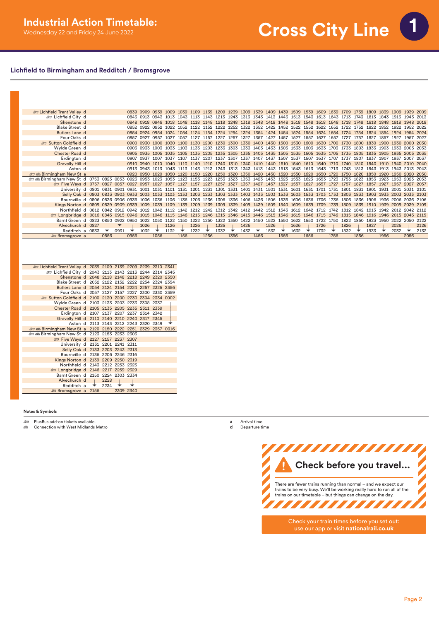# **Lichfield to Birmingham and Redditch / Bromsgrove**

| <b>Example 15</b> Lichfield Trent Valley d                 |      |           |      |           |                                                                       |      |           |      |                                    |      |           |                     |      |      |      |                                                                  |      |                                                                                      |           |           |      |      |                     |      | 0839 0909 0939 1009 1039 1109 1139 1209 1239 1309 1339 1409 1439 1509 1539 1609 1639 1709 1739 1809 1839 1909 1939 2009 |      |
|------------------------------------------------------------|------|-----------|------|-----------|-----------------------------------------------------------------------|------|-----------|------|------------------------------------|------|-----------|---------------------|------|------|------|------------------------------------------------------------------|------|--------------------------------------------------------------------------------------|-----------|-----------|------|------|---------------------|------|-------------------------------------------------------------------------------------------------------------------------|------|
| <b>ED Lichfield City d</b>                                 |      |           |      | 0843 0913 | 0943                                                                  |      |           |      | 1043 1113 1143                     |      |           |                     |      |      |      |                                                                  |      | 1213 1243 1313 1343 1413 1443 1513 1543 1613 1643 1713                               |           |           | 1743 | 1813 | 1843 1913           |      | 1943                                                                                                                    | 2013 |
| Shenstone d                                                |      |           |      |           | 0848 0918 0948 1018                                                   |      | 1048      |      | 1118 1148                          |      |           |                     |      |      |      |                                                                  |      | 1218 1248 1318 1348 1418 1448 1518 1548 1618 1648 1718                               |           |           | 1748 | 1818 | 1848 1918 1948      |      |                                                                                                                         | 2018 |
| <b>Blake Street d</b>                                      |      |           |      |           | 0852 0922 0952 1022                                                   |      |           |      |                                    |      |           |                     |      |      |      |                                                                  |      | 1052 1122 1152 1222 1252 1322 1352 1422 1452 1522 1552 1622                          |           | 1652 1722 | 1752 | 1822 | 1852 1922 1952      |      |                                                                                                                         | 2022 |
| Butlers Lane d                                             |      |           | 0854 | 0924      | 0954                                                                  | 1024 | 1054      |      |                                    |      |           |                     |      |      |      |                                                                  |      | 1124 1154 1224 1254 1324 1354 1424 1454 1524 1554 1624                               | 1654 1724 |           | 1754 | 1824 | 1854 1924           |      | 1954                                                                                                                    | 2024 |
| Four Oaks d                                                |      |           | 0857 | 0927      | 0957                                                                  | 1027 | 1057      | 1127 | 1157                               | 1227 | 1257      | 1327                | 1357 | 1427 | 1457 | 1527 1557                                                        |      | 1627                                                                                 | 1657      |           | 1757 | 1827 | 1857                | 1927 | 1957                                                                                                                    | 2027 |
| Sutton Coldfield d                                         |      |           |      | 0900 0930 | 1000                                                                  | 1030 | 1100      |      |                                    |      |           |                     |      |      |      |                                                                  |      | 1130 1200 1230 1300 1330 1400 1430 1500 1530 1600 1630 1700                          |           | 1730      | 1800 | 1830 | 1900 1930           |      | 2000                                                                                                                    | 2030 |
| Wylde Green d                                              |      |           |      | 0903 0933 | 1003                                                                  | 1033 | 1103      |      | 1133 1203                          | 1233 |           |                     |      |      |      |                                                                  |      | 1303 1333 1403 1433 1503 1533 1603 1633 1703                                         |           | 1733      | 1803 | 1833 | 1903                | 1933 | 2003                                                                                                                    | 2033 |
| Chester Road d                                             |      |           |      | 0905 0935 | 1005 1035                                                             |      |           |      |                                    |      |           |                     |      |      |      |                                                                  |      | 1105 1135 1205 1235 1305 1335 1405 1435 1505 1535 1605 1635 1705 1735                |           |           | 1805 | 1835 | 1905 1935 2005      |      |                                                                                                                         | 2035 |
| Erdington d                                                |      |           |      | 0907 0937 | 1007                                                                  | 1037 | 1107      |      | 1137 1207 1237                     |      |           |                     |      |      |      | 1307 1337 1407 1437 1507 1537 1607                               |      | 1637                                                                                 | 1707      | 1737      | 1807 | 1837 | 1907 1937           |      | 2007                                                                                                                    | 2037 |
| Gravelly Hill d                                            |      |           |      | 0910 0940 |                                                                       | 1040 | 1110      | 1140 | 1210 1240                          |      |           |                     |      |      |      |                                                                  |      | 1310 1340 1410 1440 1510 1540 1610 1640 1710                                         |           | 1740      | 1810 | 1840 | 1910 1940           |      | 2010                                                                                                                    | 2040 |
| Aston d                                                    |      |           |      | 0913 0943 | 1013                                                                  |      |           |      |                                    |      |           |                     |      |      |      |                                                                  |      | 1043 1113 1143 1213 1243 1313 1343 1413 1443 1513 1543 1613 1643 1713                |           | 1743      | 1813 |      | 1843 1913 1943      |      | 2013 2043                                                                                                               |      |
| <b><i>a</i></b> Birmingham New St a                        |      |           |      | 0920 0950 | 1020                                                                  | 1050 | 1120      | 1150 | 1220                               |      | 1250 1320 |                     |      |      |      | 1350 1420 1450 1520 1550 1620                                    |      | 1650                                                                                 | 1720      | 1750      | 1820 | 1850 | 1920 1950           |      | 2020                                                                                                                    | 2050 |
| <b>et all Birmingham New St d 0753 0823 0853 0923 0953</b> |      |           |      |           | 1023                                                                  |      |           |      |                                    |      |           |                     |      |      |      | 1053 1123 1153 1223 1253 1323 1353 1423 1453 1523 1553 1623      |      | 1653                                                                                 | 1723      | 1753      | 1823 | 1853 | 1923 1953           |      | 2023                                                                                                                    | 2053 |
| Five Ways d 0757 0827 0857 0927 0957                       |      |           |      |           | 1027 1057 1127 1157 1227 1257 1327 1357 1427 1457 1527 1557 1627 1657 |      |           |      |                                    |      |           |                     |      |      |      |                                                                  |      |                                                                                      | 1727      | 1757      | 1827 |      | 1857 1927 1957      |      | 2027                                                                                                                    | 2057 |
| University d 0801 0831 0901 0931 1001                      |      |           |      |           |                                                                       |      |           |      |                                    |      |           |                     |      |      |      | 1031 1101 1131 1201 1231 1301 1331 1401 1431 1501 1531 1601 1631 |      | 1701                                                                                 | 1731      | 1801      | 1831 | 1901 | 1931                |      |                                                                                                                         | 2101 |
| Selly Oak d 0803 0833 0903 0933 1003                       |      |           |      |           | 1033 1103 1133 1203 1233 1303 1333 1403 1433 1503 1533 1603 1633      |      |           |      |                                    |      |           |                     |      |      |      |                                                                  |      | 1703                                                                                 | 1733      | 1803      | 1833 |      | 1903 1933 2003      |      | 2033                                                                                                                    | 2103 |
| Bournville d 0806 0836 0906 0936                           |      |           |      | 1006      |                                                                       |      |           |      |                                    |      |           |                     |      |      |      |                                                                  |      | 1036 1106 1136 1206 1236 1306 1336 1406 1436 1506 1536 1606 1636 1706 1736           |           | 1806      | 1836 |      |                     |      | 1906 1936 2006 2036 2106                                                                                                |      |
| Kings Norton d 0809 0839                                   |      | 0909 0939 |      | 1009      | 1039                                                                  | 1109 |           |      | 1139 1209 1239 1309 1339 1409 1439 |      |           |                     |      |      |      | 1509 1540 1609 1639                                              |      | 1709                                                                                 | 1739      | 1809      | 1839 | 1910 | 1939 2009           |      | 2039                                                                                                                    | 2109 |
| Northfield d 0812 0842 0912 0942                           |      |           |      | 1012      | 1042 1112                                                             |      |           |      |                                    |      |           |                     |      |      |      | 1142 1212 1242 1312 1342 1412 1442 1512 1543 1612 1642 1712      |      |                                                                                      | 1742      | 1812      | 1842 | 1913 | 1942 2012 2042      |      |                                                                                                                         | 2112 |
| <b>Example 1 0816 0845 0915 0946</b>                       |      |           |      | 1015      |                                                                       |      |           |      |                                    |      |           |                     |      |      |      |                                                                  |      | 1046 1115 1146 1215 1246 1315 1346 1415 1446 1515 1546 1615 1646 1715 1746 1815 1846 |           |           |      |      | 1916 1946 2015 2045 |      |                                                                                                                         | 2115 |
| Barnt Green d 0823 0850                                    |      | 0922 0950 |      | 1022      | 1050                                                                  |      | 1122 1150 |      | 1222 1250                          |      | 1322 1350 | 1422 1450 1522 1550 |      |      |      | 1622 1650                                                        |      | 1722                                                                                 | 1750      | 1822      | 1850 | 1923 | 1950                |      | 2022 2050                                                                                                               | 2122 |
| Alvechurch d 0827                                          |      |           |      | 1026      |                                                                       | 1126 |           | 1226 |                                    | 1326 |           | 1426                |      | 1526 |      | 1626                                                             |      | 1726                                                                                 |           | 1826      |      | 1927 |                     | 2026 |                                                                                                                         | 2126 |
| Redditch a 0833                                            |      | 0931      |      | 1032      |                                                                       | 1132 |           | 1232 |                                    | 1332 |           | 1432                |      | 1532 |      | 1632                                                             |      | 1732                                                                                 |           | 1832      |      | 1933 |                     | 2032 |                                                                                                                         | 2132 |
| <b>E</b> Bromsgrove a                                      | 0856 |           | 0956 |           | 1056                                                                  |      | 1156      |      | 1256                               |      | 1356      |                     | 1456 |      | 1556 |                                                                  | 1656 |                                                                                      | 1756      |           | 1856 |      | 1956                |      | 2056                                                                                                                    |      |

| £ Lichfield Trent Valley d 2039 2109 2139 2209 2239 2310 2341 |  |      |           |  |  |
|---------------------------------------------------------------|--|------|-----------|--|--|
| £ Lichfield City d 2043 2113 2143 2213 2244 2314 2345         |  |      |           |  |  |
| Shenstone d 2048 2118 2148 2218 2249 2320 2350                |  |      |           |  |  |
| Blake Street d 2052 2122 2152 2222 2254 2324 2354             |  |      |           |  |  |
| Butlers Lane d 2054 2124 2154 2224 2257 2326 2356             |  |      |           |  |  |
| Four Oaks d 2057 2127 2157 2227 2300 2330 2359                |  |      |           |  |  |
| Sutton Coldfield d 2100 2130 2200 2230 2304 2334 0002         |  |      |           |  |  |
| Wylde Green d 2103 2133 2203 2233 2308 2337                   |  |      |           |  |  |
| Chester Road d 2105 2135 2205 2235 2311 2339                  |  |      |           |  |  |
| Erdington d 2107 2137 2207 2237 2314 2342                     |  |      |           |  |  |
| Gravelly Hill d 2110 2140 2210 2240 2317 2345                 |  |      |           |  |  |
| Aston d 2113 2143 2212 2243 2320 2349                         |  |      |           |  |  |
| and Birmingham New St a 2120 2150 2222 2251 2329 2357 0016    |  |      |           |  |  |
| and all Birmingham New St d 2123 2153 2233 2303               |  |      |           |  |  |
| Five Ways d 2127 2157 2237 2307                               |  |      |           |  |  |
| University d 2131 2201 2241 2311                              |  |      |           |  |  |
| Selly Oak d 2133 2203 2243 2313                               |  |      |           |  |  |
| Bournville d 2136 2206 2246 2316                              |  |      |           |  |  |
| Kings Norton d 2139 2209 2250 2319                            |  |      |           |  |  |
| Northfield d 2143 2212 2253 2323                              |  |      |           |  |  |
| £ Longbridge d 2146 2217 2259 2329                            |  |      |           |  |  |
| Barnt Green d 2150 2224 2303 2334                             |  |      |           |  |  |
| Alvechurch d                                                  |  | 2228 |           |  |  |
| Redditch a                                                    |  | 2234 |           |  |  |
| <b>Example 3156</b> Bromsgrove a 2156                         |  |      | 2309 2340 |  |  |

#### **Notes & Symbols**

و PlusBus add-on tickets available.<br>هغار Connection with West Midlands Metro

**a** Arrival time **d** Departure time